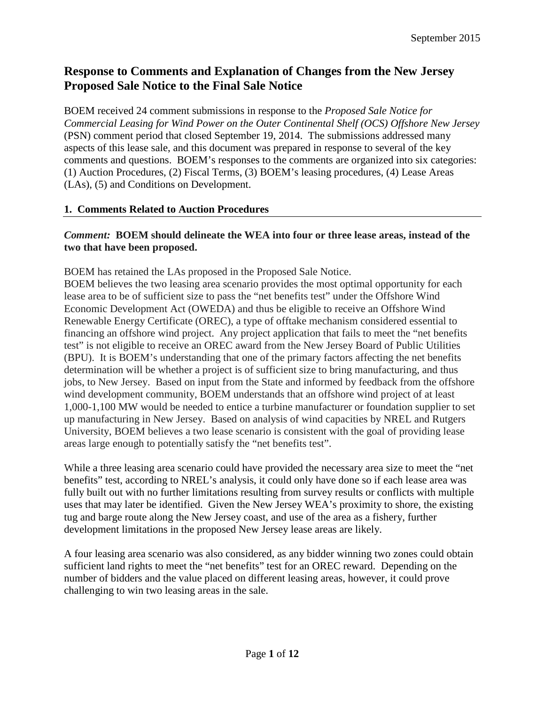# **Response to Comments and Explanation of Changes from the New Jersey Proposed Sale Notice to the Final Sale Notice**

BOEM received 24 comment submissions in response to the *Proposed Sale Notice for Commercial Leasing for Wind Power on the Outer Continental Shelf (OCS) Offshore New Jersey* (PSN) comment period that closed September 19, 2014. The submissions addressed many aspects of this lease sale, and this document was prepared in response to several of the key comments and questions. BOEM's responses to the comments are organized into six categories: (1) Auction Procedures, (2) Fiscal Terms, (3) BOEM's leasing procedures, (4) Lease Areas (LAs), (5) and Conditions on Development.

# **1. Comments Related to Auction Procedures**

#### *Comment:* **BOEM should delineate the WEA into four or three lease areas, instead of the two that have been proposed.**

BOEM has retained the LAs proposed in the Proposed Sale Notice.

BOEM believes the two leasing area scenario provides the most optimal opportunity for each lease area to be of sufficient size to pass the "net benefits test" under the Offshore Wind Economic Development Act (OWEDA) and thus be eligible to receive an Offshore Wind Renewable Energy Certificate (OREC), a type of offtake mechanism considered essential to financing an offshore wind project. Any project application that fails to meet the "net benefits test" is not eligible to receive an OREC award from the New Jersey Board of Public Utilities (BPU). It is BOEM's understanding that one of the primary factors affecting the net benefits determination will be whether a project is of sufficient size to bring manufacturing, and thus jobs, to New Jersey. Based on input from the State and informed by feedback from the offshore wind development community, BOEM understands that an offshore wind project of at least 1,000-1,100 MW would be needed to entice a turbine manufacturer or foundation supplier to set up manufacturing in New Jersey. Based on analysis of wind capacities by NREL and Rutgers University, BOEM believes a two lease scenario is consistent with the goal of providing lease areas large enough to potentially satisfy the "net benefits test".

While a three leasing area scenario could have provided the necessary area size to meet the "net benefits" test, according to NREL's analysis, it could only have done so if each lease area was fully built out with no further limitations resulting from survey results or conflicts with multiple uses that may later be identified. Given the New Jersey WEA's proximity to shore, the existing tug and barge route along the New Jersey coast, and use of the area as a fishery, further development limitations in the proposed New Jersey lease areas are likely.

A four leasing area scenario was also considered, as any bidder winning two zones could obtain sufficient land rights to meet the "net benefits" test for an OREC reward. Depending on the number of bidders and the value placed on different leasing areas, however, it could prove challenging to win two leasing areas in the sale.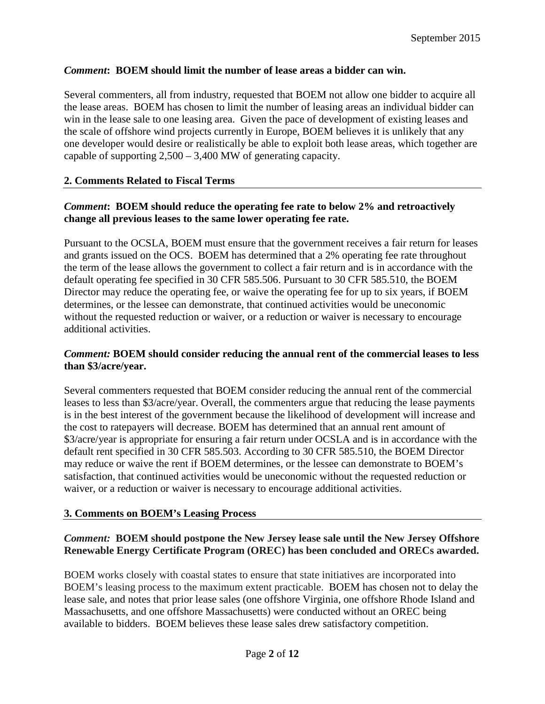# *Comment***: BOEM should limit the number of lease areas a bidder can win.**

Several commenters, all from industry, requested that BOEM not allow one bidder to acquire all the lease areas. BOEM has chosen to limit the number of leasing areas an individual bidder can win in the lease sale to one leasing area. Given the pace of development of existing leases and the scale of offshore wind projects currently in Europe, BOEM believes it is unlikely that any one developer would desire or realistically be able to exploit both lease areas, which together are capable of supporting 2,500 – 3,400 MW of generating capacity.

#### **2. Comments Related to Fiscal Terms**

#### *Comment***: BOEM should reduce the operating fee rate to below 2% and retroactively change all previous leases to the same lower operating fee rate.**

Pursuant to the OCSLA, BOEM must ensure that the government receives a fair return for leases and grants issued on the OCS. BOEM has determined that a 2% operating fee rate throughout the term of the lease allows the government to collect a fair return and is in accordance with the default operating fee specified in 30 CFR 585.506. Pursuant to 30 CFR 585.510, the BOEM Director may reduce the operating fee, or waive the operating fee for up to six years, if BOEM determines, or the lessee can demonstrate, that continued activities would be uneconomic without the requested reduction or waiver, or a reduction or waiver is necessary to encourage additional activities.

#### *Comment:* **BOEM should consider reducing the annual rent of the commercial leases to less than \$3/acre/year.**

Several commenters requested that BOEM consider reducing the annual rent of the commercial leases to less than \$3/acre/year. Overall, the commenters argue that reducing the lease payments is in the best interest of the government because the likelihood of development will increase and the cost to ratepayers will decrease. BOEM has determined that an annual rent amount of \$3/acre/year is appropriate for ensuring a fair return under OCSLA and is in accordance with the default rent specified in 30 CFR 585.503. According to 30 CFR 585.510, the BOEM Director may reduce or waive the rent if BOEM determines, or the lessee can demonstrate to BOEM's satisfaction, that continued activities would be uneconomic without the requested reduction or waiver, or a reduction or waiver is necessary to encourage additional activities.

#### **3. Comments on BOEM's Leasing Process**

# *Comment:* **BOEM should postpone the New Jersey lease sale until the New Jersey Offshore Renewable Energy Certificate Program (OREC) has been concluded and ORECs awarded.**

BOEM works closely with coastal states to ensure that state initiatives are incorporated into BOEM's leasing process to the maximum extent practicable. BOEM has chosen not to delay the lease sale, and notes that prior lease sales (one offshore Virginia, one offshore Rhode Island and Massachusetts, and one offshore Massachusetts) were conducted without an OREC being available to bidders. BOEM believes these lease sales drew satisfactory competition.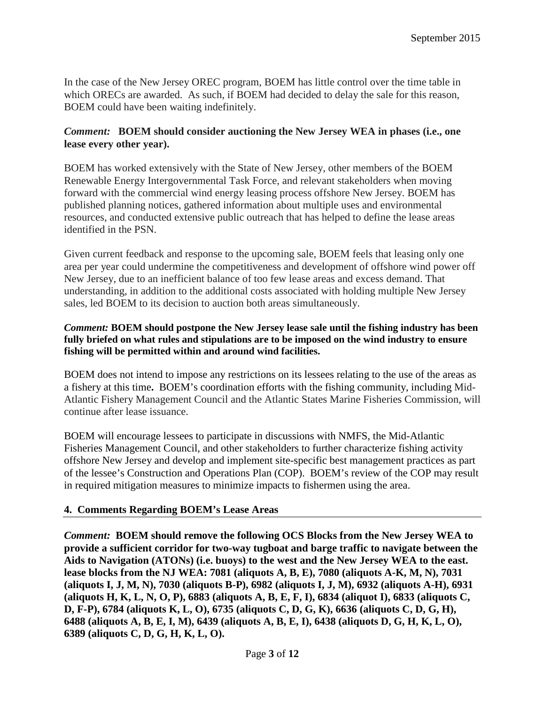In the case of the New Jersey OREC program, BOEM has little control over the time table in which ORECs are awarded. As such, if BOEM had decided to delay the sale for this reason, BOEM could have been waiting indefinitely.

# *Comment:* **BOEM should consider auctioning the New Jersey WEA in phases (i.e., one lease every other year).**

BOEM has worked extensively with the State of New Jersey, other members of the BOEM Renewable Energy Intergovernmental Task Force, and relevant stakeholders when moving forward with the commercial wind energy leasing process offshore New Jersey. BOEM has published planning notices, gathered information about multiple uses and environmental resources, and conducted extensive public outreach that has helped to define the lease areas identified in the PSN.

Given current feedback and response to the upcoming sale, BOEM feels that leasing only one area per year could undermine the competitiveness and development of offshore wind power off New Jersey, due to an inefficient balance of too few lease areas and excess demand. That understanding, in addition to the additional costs associated with holding multiple New Jersey sales, led BOEM to its decision to auction both areas simultaneously.

#### *Comment:* **BOEM should postpone the New Jersey lease sale until the fishing industry has been fully briefed on what rules and stipulations are to be imposed on the wind industry to ensure fishing will be permitted within and around wind facilities.**

BOEM does not intend to impose any restrictions on its lessees relating to the use of the areas as a fishery at this time**.** BOEM's coordination efforts with the fishing community, including Mid-Atlantic Fishery Management Council and the Atlantic States Marine Fisheries Commission, will continue after lease issuance.

BOEM will encourage lessees to participate in discussions with NMFS, the Mid-Atlantic Fisheries Management Council, and other stakeholders to further characterize fishing activity offshore New Jersey and develop and implement site-specific best management practices as part of the lessee's Construction and Operations Plan (COP). BOEM's review of the COP may result in required mitigation measures to minimize impacts to fishermen using the area.

# **4. Comments Regarding BOEM's Lease Areas**

*Comment:* **BOEM should remove the following OCS Blocks from the New Jersey WEA to provide a sufficient corridor for two-way tugboat and barge traffic to navigate between the Aids to Navigation (ATONs) (i.e. buoys) to the west and the New Jersey WEA to the east. lease blocks from the NJ WEA: 7081 (aliquots A, B, E), 7080 (aliquots A-K, M, N), 7031 (aliquots I, J, M, N), 7030 (aliquots B-P), 6982 (aliquots I, J, M), 6932 (aliquots A-H), 6931 (aliquots H, K, L, N, O, P), 6883 (aliquots A, B, E, F, I), 6834 (aliquot I), 6833 (aliquots C, D, F-P), 6784 (aliquots K, L, O), 6735 (aliquots C, D, G, K), 6636 (aliquots C, D, G, H), 6488 (aliquots A, B, E, I, M), 6439 (aliquots A, B, E, I), 6438 (aliquots D, G, H, K, L, O), 6389 (aliquots C, D, G, H, K, L, O).**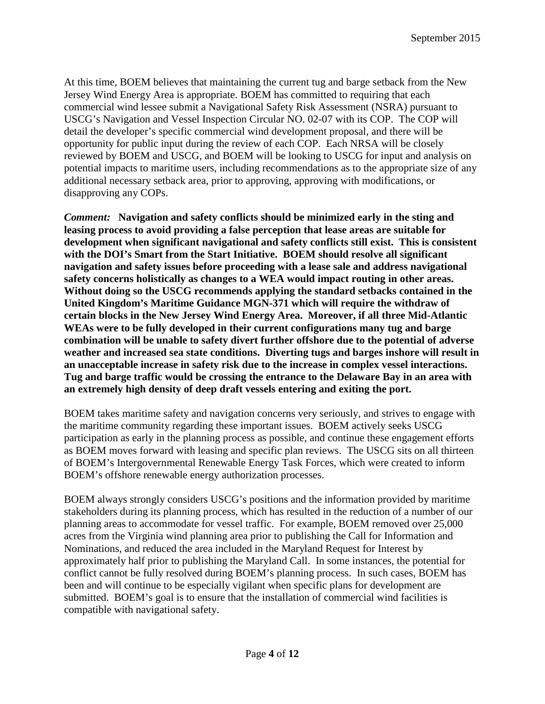At this time, BOEM believes that maintaining the current tug and barge setback from the New Jersey Wind Energy Area is appropriate. BOEM has committed to requiring that each commercial wind lessee submit a Navigational Safety Risk Assessment (NSRA) pursuant to USCG's Navigation and Vessel Inspection Circular NO. 02-07 with its COP. The COP will detail the developer's specific commercial wind development proposal, and there will be opportunity for public input during the review of each COP. Each NRSA will be closely reviewed by BOEM and USCG, and BOEM will be looking to USCG for input and analysis on potential impacts to maritime users, including recommendations as to the appropriate size of any additional necessary setback area, prior to approving, approving with modifications, or disapproving any COPs.

*Comment:* **Navigation and safety conflicts should be minimized early in the sting and leasing process to avoid providing a false perception that lease areas are suitable for development when significant navigational and safety conflicts still exist. This is consistent with the DOI's Smart from the Start Initiative. BOEM should resolve all significant navigation and safety issues before proceeding with a lease sale and address navigational safety concerns holistically as changes to a WEA would impact routing in other areas. Without doing so the USCG recommends applying the standard setbacks contained in the United Kingdom's Maritime Guidance MGN-371 which will require the withdraw of certain blocks in the New Jersey Wind Energy Area. Moreover, if all three Mid-Atlantic WEAs were to be fully developed in their current configurations many tug and barge combination will be unable to safety divert further offshore due to the potential of adverse weather and increased sea state conditions. Diverting tugs and barges inshore will result in an unacceptable increase in safety risk due to the increase in complex vessel interactions. Tug and barge traffic would be crossing the entrance to the Delaware Bay in an area with an extremely high density of deep draft vessels entering and exiting the port.** 

BOEM takes maritime safety and navigation concerns very seriously, and strives to engage with the maritime community regarding these important issues. BOEM actively seeks USCG participation as early in the planning process as possible, and continue these engagement efforts as BOEM moves forward with leasing and specific plan reviews. The USCG sits on all thirteen of BOEM's Intergovernmental Renewable Energy Task Forces, which were created to inform BOEM's offshore renewable energy authorization processes.

BOEM always strongly considers USCG's positions and the information provided by maritime stakeholders during its planning process, which has resulted in the reduction of a number of our planning areas to accommodate for vessel traffic. For example, BOEM removed over 25,000 acres from the Virginia wind planning area prior to publishing the Call for Information and Nominations, and reduced the area included in the Maryland Request for Interest by approximately half prior to publishing the Maryland Call. In some instances, the potential for conflict cannot be fully resolved during BOEM's planning process. In such cases, BOEM has been and will continue to be especially vigilant when specific plans for development are submitted. BOEM's goal is to ensure that the installation of commercial wind facilities is compatible with navigational safety.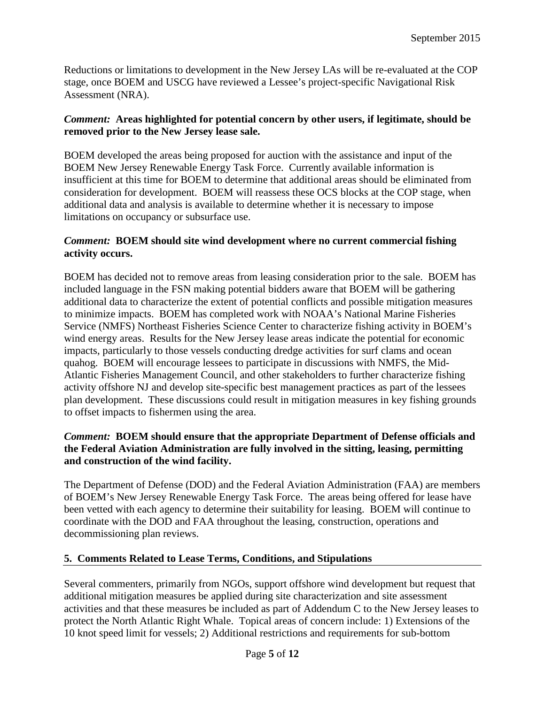Reductions or limitations to development in the New Jersey LAs will be re-evaluated at the COP stage, once BOEM and USCG have reviewed a Lessee's project-specific Navigational Risk Assessment (NRA).

# *Comment:* **Areas highlighted for potential concern by other users, if legitimate, should be removed prior to the New Jersey lease sale.**

BOEM developed the areas being proposed for auction with the assistance and input of the BOEM New Jersey Renewable Energy Task Force. Currently available information is insufficient at this time for BOEM to determine that additional areas should be eliminated from consideration for development. BOEM will reassess these OCS blocks at the COP stage, when additional data and analysis is available to determine whether it is necessary to impose limitations on occupancy or subsurface use.

#### *Comment:* **BOEM should site wind development where no current commercial fishing activity occurs.**

BOEM has decided not to remove areas from leasing consideration prior to the sale. BOEM has included language in the FSN making potential bidders aware that BOEM will be gathering additional data to characterize the extent of potential conflicts and possible mitigation measures to minimize impacts. BOEM has completed work with NOAA's National Marine Fisheries Service (NMFS) Northeast Fisheries Science Center to characterize fishing activity in BOEM's wind energy areas. Results for the New Jersey lease areas indicate the potential for economic impacts, particularly to those vessels conducting dredge activities for surf clams and ocean quahog. BOEM will encourage lessees to participate in discussions with NMFS, the Mid-Atlantic Fisheries Management Council, and other stakeholders to further characterize fishing activity offshore NJ and develop site-specific best management practices as part of the lessees plan development. These discussions could result in mitigation measures in key fishing grounds to offset impacts to fishermen using the area.

# *Comment:* **BOEM should ensure that the appropriate Department of Defense officials and the Federal Aviation Administration are fully involved in the sitting, leasing, permitting and construction of the wind facility.**

The Department of Defense (DOD) and the Federal Aviation Administration (FAA) are members of BOEM's New Jersey Renewable Energy Task Force. The areas being offered for lease have been vetted with each agency to determine their suitability for leasing. BOEM will continue to coordinate with the DOD and FAA throughout the leasing, construction, operations and decommissioning plan reviews.

# **5. Comments Related to Lease Terms, Conditions, and Stipulations**

Several commenters, primarily from NGOs, support offshore wind development but request that additional mitigation measures be applied during site characterization and site assessment activities and that these measures be included as part of Addendum C to the New Jersey leases to protect the North Atlantic Right Whale. Topical areas of concern include: 1) Extensions of the 10 knot speed limit for vessels; 2) Additional restrictions and requirements for sub-bottom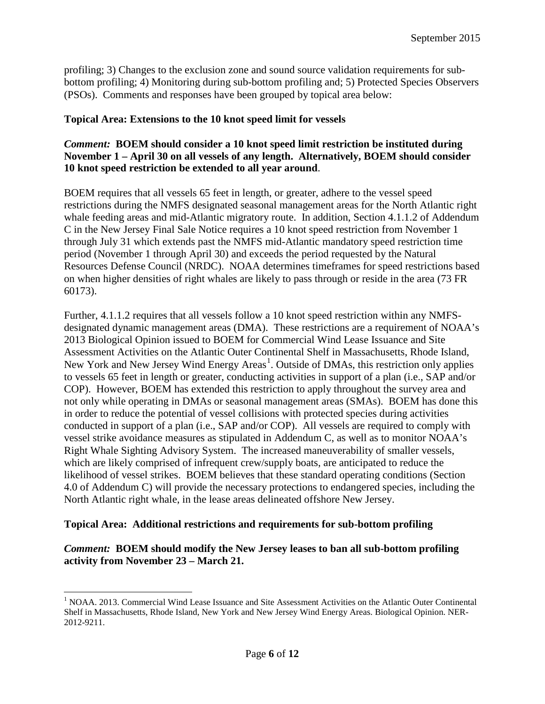profiling; 3) Changes to the exclusion zone and sound source validation requirements for subbottom profiling; 4) Monitoring during sub-bottom profiling and; 5) Protected Species Observers (PSOs). Comments and responses have been grouped by topical area below:

#### **Topical Area: Extensions to the 10 knot speed limit for vessels**

# *Comment:* **BOEM should consider a 10 knot speed limit restriction be instituted during November 1 – April 30 on all vessels of any length. Alternatively, BOEM should consider 10 knot speed restriction be extended to all year around**.

BOEM requires that all vessels 65 feet in length, or greater, adhere to the vessel speed restrictions during the NMFS designated seasonal management areas for the North Atlantic right whale feeding areas and mid-Atlantic migratory route. In addition, Section 4.1.1.2 of Addendum C in the New Jersey Final Sale Notice requires a 10 knot speed restriction from November 1 through July 31 which extends past the NMFS mid-Atlantic mandatory speed restriction time period (November 1 through April 30) and exceeds the period requested by the Natural Resources Defense Council (NRDC). NOAA determines timeframes for speed restrictions based on when higher densities of right whales are likely to pass through or reside in the area (73 FR 60173).

Further, 4.1.1.2 requires that all vessels follow a 10 knot speed restriction within any NMFSdesignated dynamic management areas (DMA). These restrictions are a requirement of NOAA's 2013 Biological Opinion issued to BOEM for Commercial Wind Lease Issuance and Site Assessment Activities on the Atlantic Outer Continental Shelf in Massachusetts, Rhode Island, New York and New Jersey Wind Energy Areas<sup>[1](#page-5-0)</sup>. Outside of DMAs, this restriction only applies to vessels 65 feet in length or greater, conducting activities in support of a plan (i.e., SAP and/or COP). However, BOEM has extended this restriction to apply throughout the survey area and not only while operating in DMAs or seasonal management areas (SMAs). BOEM has done this in order to reduce the potential of vessel collisions with protected species during activities conducted in support of a plan (i.e., SAP and/or COP). All vessels are required to comply with vessel strike avoidance measures as stipulated in Addendum C, as well as to monitor NOAA's Right Whale Sighting Advisory System. The increased maneuverability of smaller vessels, which are likely comprised of infrequent crew/supply boats, are anticipated to reduce the likelihood of vessel strikes. BOEM believes that these standard operating conditions (Section 4.0 of Addendum C) will provide the necessary protections to endangered species, including the North Atlantic right whale, in the lease areas delineated offshore New Jersey.

# **Topical Area: Additional restrictions and requirements for sub-bottom profiling**

# *Comment:* **BOEM should modify the New Jersey leases to ban all sub-bottom profiling activity from November 23 – March 21.**

<span id="page-5-0"></span><sup>&</sup>lt;sup>1</sup> NOAA. 2013. Commercial Wind Lease Issuance and Site Assessment Activities on the Atlantic Outer Continental Shelf in Massachusetts, Rhode Island, New York and New Jersey Wind Energy Areas. Biological Opinion. NER-2012-9211.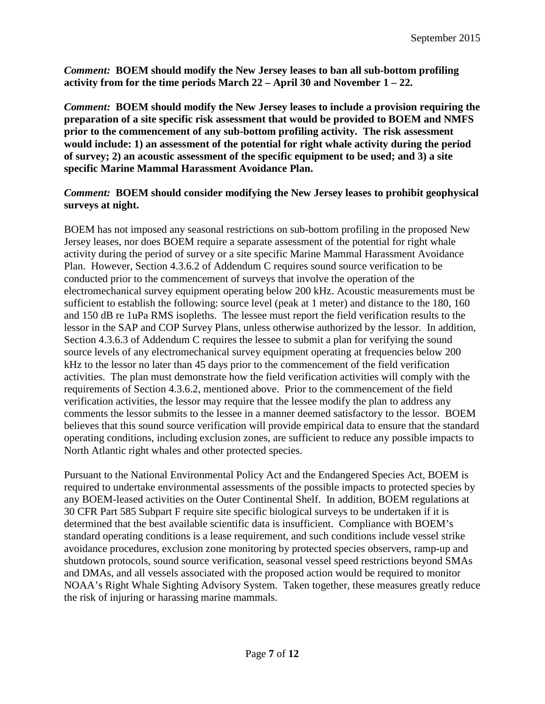*Comment:* **BOEM should modify the New Jersey leases to ban all sub-bottom profiling activity from for the time periods March 22 – April 30 and November 1 – 22.**

*Comment:* **BOEM should modify the New Jersey leases to include a provision requiring the preparation of a site specific risk assessment that would be provided to BOEM and NMFS prior to the commencement of any sub-bottom profiling activity. The risk assessment would include: 1) an assessment of the potential for right whale activity during the period of survey; 2) an acoustic assessment of the specific equipment to be used; and 3) a site specific Marine Mammal Harassment Avoidance Plan.** 

# *Comment:* **BOEM should consider modifying the New Jersey leases to prohibit geophysical surveys at night.**

BOEM has not imposed any seasonal restrictions on sub-bottom profiling in the proposed New Jersey leases, nor does BOEM require a separate assessment of the potential for right whale activity during the period of survey or a site specific Marine Mammal Harassment Avoidance Plan. However, Section 4.3.6.2 of Addendum C requires sound source verification to be conducted prior to the commencement of surveys that involve the operation of the electromechanical survey equipment operating below 200 kHz. Acoustic measurements must be sufficient to establish the following: source level (peak at 1 meter) and distance to the 180, 160 and 150 dB re 1uPa RMS isopleths. The lessee must report the field verification results to the lessor in the SAP and COP Survey Plans, unless otherwise authorized by the lessor. In addition, Section 4.3.6.3 of Addendum C requires the lessee to submit a plan for verifying the sound source levels of any electromechanical survey equipment operating at frequencies below 200 kHz to the lessor no later than 45 days prior to the commencement of the field verification activities. The plan must demonstrate how the field verification activities will comply with the requirements of Section 4.3.6.2, mentioned above. Prior to the commencement of the field verification activities, the lessor may require that the lessee modify the plan to address any comments the lessor submits to the lessee in a manner deemed satisfactory to the lessor. BOEM believes that this sound source verification will provide empirical data to ensure that the standard operating conditions, including exclusion zones, are sufficient to reduce any possible impacts to North Atlantic right whales and other protected species.

Pursuant to the National Environmental Policy Act and the Endangered Species Act, BOEM is required to undertake environmental assessments of the possible impacts to protected species by any BOEM-leased activities on the Outer Continental Shelf. In addition, BOEM regulations at 30 CFR Part 585 Subpart F require site specific biological surveys to be undertaken if it is determined that the best available scientific data is insufficient. Compliance with BOEM's standard operating conditions is a lease requirement, and such conditions include vessel strike avoidance procedures, exclusion zone monitoring by protected species observers, ramp-up and shutdown protocols, sound source verification, seasonal vessel speed restrictions beyond SMAs and DMAs, and all vessels associated with the proposed action would be required to monitor NOAA's Right Whale Sighting Advisory System. Taken together, these measures greatly reduce the risk of injuring or harassing marine mammals.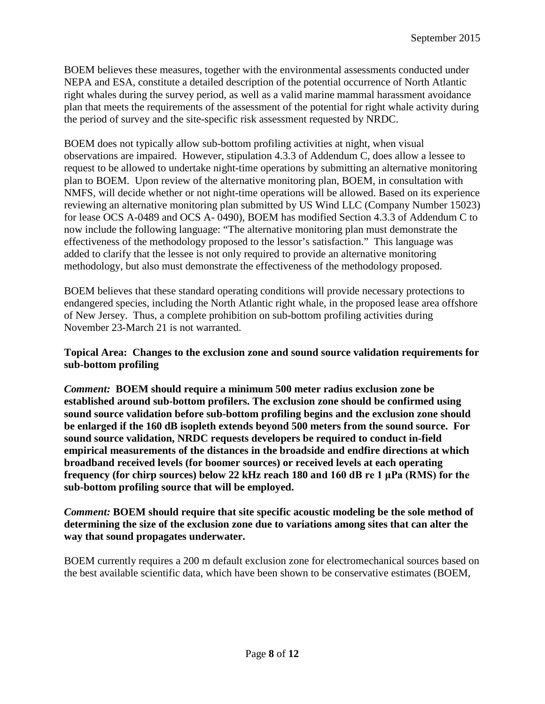BOEM believes these measures, together with the environmental assessments conducted under NEPA and ESA, constitute a detailed description of the potential occurrence of North Atlantic right whales during the survey period, as well as a valid marine mammal harassment avoidance plan that meets the requirements of the assessment of the potential for right whale activity during the period of survey and the site-specific risk assessment requested by NRDC.

BOEM does not typically allow sub-bottom profiling activities at night, when visual observations are impaired. However, stipulation 4.3.3 of Addendum C, does allow a lessee to request to be allowed to undertake night-time operations by submitting an alternative monitoring plan to BOEM. Upon review of the alternative monitoring plan, BOEM, in consultation with NMFS, will decide whether or not night-time operations will be allowed. Based on its experience reviewing an alternative monitoring plan submitted by US Wind LLC (Company Number 15023) for lease OCS A-0489 and OCS A- 0490), BOEM has modified Section 4.3.3 of Addendum C to now include the following language: "The alternative monitoring plan must demonstrate the effectiveness of the methodology proposed to the lessor's satisfaction." This language was added to clarify that the lessee is not only required to provide an alternative monitoring methodology, but also must demonstrate the effectiveness of the methodology proposed.

BOEM believes that these standard operating conditions will provide necessary protections to endangered species, including the North Atlantic right whale, in the proposed lease area offshore of New Jersey. Thus, a complete prohibition on sub-bottom profiling activities during November 23-March 21 is not warranted.

# **Topical Area: Changes to the exclusion zone and sound source validation requirements for sub-bottom profiling**

*Comment:* **BOEM should require a minimum 500 meter radius exclusion zone be established around sub-bottom profilers. The exclusion zone should be confirmed using sound source validation before sub-bottom profiling begins and the exclusion zone should be enlarged if the 160 dB isopleth extends beyond 500 meters from the sound source. For sound source validation, NRDC requests developers be required to conduct in-field empirical measurements of the distances in the broadside and endfire directions at which broadband received levels (for boomer sources) or received levels at each operating frequency (for chirp sources) below 22 kHz reach 180 and 160 dB re 1 μPa (RMS) for the sub-bottom profiling source that will be employed.** 

*Comment:* **BOEM should require that site specific acoustic modeling be the sole method of determining the size of the exclusion zone due to variations among sites that can alter the way that sound propagates underwater.**

BOEM currently requires a 200 m default exclusion zone for electromechanical sources based on the best available scientific data, which have been shown to be conservative estimates (BOEM,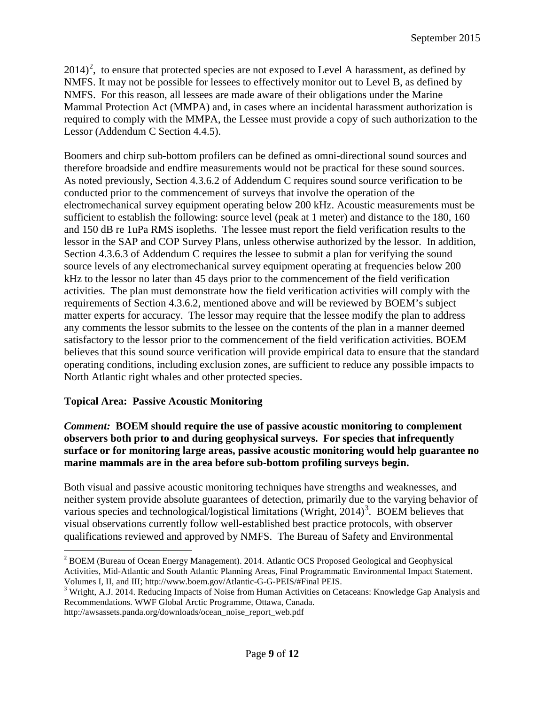$2014$  $2014$ <sup>2</sup>, to ensure that protected species are not exposed to Level A harassment, as defined by NMFS. It may not be possible for lessees to effectively monitor out to Level B, as defined by NMFS. For this reason, all lessees are made aware of their obligations under the Marine Mammal Protection Act (MMPA) and, in cases where an incidental harassment authorization is required to comply with the MMPA, the Lessee must provide a copy of such authorization to the Lessor (Addendum C Section 4.4.5).

Boomers and chirp sub-bottom profilers can be defined as omni-directional sound sources and therefore broadside and endfire measurements would not be practical for these sound sources. As noted previously, Section 4.3.6.2 of Addendum C requires sound source verification to be conducted prior to the commencement of surveys that involve the operation of the electromechanical survey equipment operating below 200 kHz. Acoustic measurements must be sufficient to establish the following: source level (peak at 1 meter) and distance to the 180, 160 and 150 dB re 1uPa RMS isopleths. The lessee must report the field verification results to the lessor in the SAP and COP Survey Plans, unless otherwise authorized by the lessor. In addition, Section 4.3.6.3 of Addendum C requires the lessee to submit a plan for verifying the sound source levels of any electromechanical survey equipment operating at frequencies below 200 kHz to the lessor no later than 45 days prior to the commencement of the field verification activities. The plan must demonstrate how the field verification activities will comply with the requirements of Section 4.3.6.2, mentioned above and will be reviewed by BOEM's subject matter experts for accuracy. The lessor may require that the lessee modify the plan to address any comments the lessor submits to the lessee on the contents of the plan in a manner deemed satisfactory to the lessor prior to the commencement of the field verification activities. BOEM believes that this sound source verification will provide empirical data to ensure that the standard operating conditions, including exclusion zones, are sufficient to reduce any possible impacts to North Atlantic right whales and other protected species.

# **Topical Area: Passive Acoustic Monitoring**

*Comment:* **BOEM should require the use of passive acoustic monitoring to complement observers both prior to and during geophysical surveys. For species that infrequently surface or for monitoring large areas, passive acoustic monitoring would help guarantee no marine mammals are in the area before sub-bottom profiling surveys begin.**

Both visual and passive acoustic monitoring techniques have strengths and weaknesses, and neither system provide absolute guarantees of detection, primarily due to the varying behavior of various species and technological/logistical limitations (Wright,  $2014$ )<sup>[3](#page-8-1)</sup>. BOEM believes that visual observations currently follow well-established best practice protocols, with observer qualifications reviewed and approved by NMFS. The Bureau of Safety and Environmental

<span id="page-8-0"></span><sup>&</sup>lt;sup>2</sup> BOEM (Bureau of Ocean Energy Management). 2014. Atlantic OCS Proposed Geological and Geophysical Activities, Mid-Atlantic and South Atlantic Planning Areas, Final Programmatic Environmental Impact Statement. Volumes I, II, and III; http://www.boem.gov/Atlantic-G-G-PEIS/#Final PEIS.<br><sup>3</sup> Wright, A.J. 2014. Reducing Impacts of Noise from Human Activities on Cetaceans: Knowledge Gap Analysis and

<span id="page-8-1"></span>Recommendations. WWF Global Arctic Programme, Ottawa, Canada.

http://awsassets.panda.org/downloads/ocean\_noise\_report\_web.pdf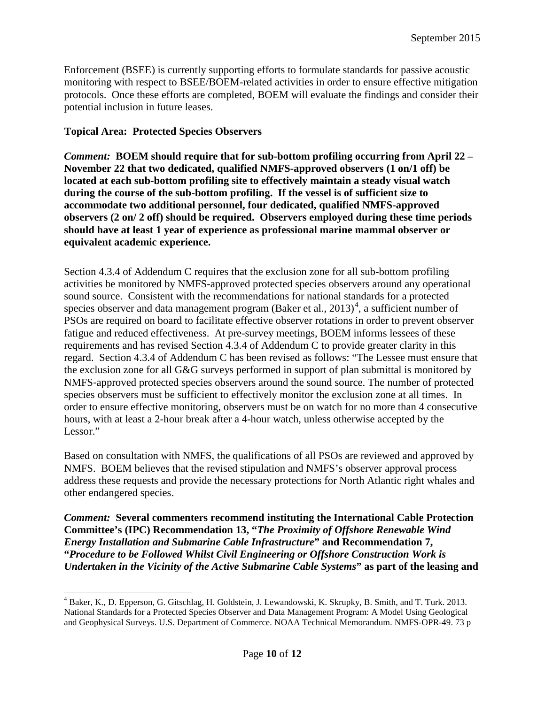Enforcement (BSEE) is currently supporting efforts to formulate standards for passive acoustic monitoring with respect to BSEE/BOEM-related activities in order to ensure effective mitigation protocols. Once these efforts are completed, BOEM will evaluate the findings and consider their potential inclusion in future leases.

**Topical Area: Protected Species Observers**

*Comment:* **BOEM should require that for sub-bottom profiling occurring from April 22 – November 22 that two dedicated, qualified NMFS-approved observers (1 on/1 off) be located at each sub-bottom profiling site to effectively maintain a steady visual watch during the course of the sub-bottom profiling. If the vessel is of sufficient size to accommodate two additional personnel, four dedicated, qualified NMFS-approved observers (2 on/ 2 off) should be required. Observers employed during these time periods should have at least 1 year of experience as professional marine mammal observer or equivalent academic experience.**

Section 4.3.4 of Addendum C requires that the exclusion zone for all sub-bottom profiling activities be monitored by NMFS-approved protected species observers around any operational sound source. Consistent with the recommendations for national standards for a protected species observer and data management program (Baker et al.,  $2013)^4$  $2013)^4$ , a sufficient number of PSOs are required on board to facilitate effective observer rotations in order to prevent observer fatigue and reduced effectiveness. At pre-survey meetings, BOEM informs lessees of these requirements and has revised Section 4.3.4 of Addendum C to provide greater clarity in this regard. Section 4.3.4 of Addendum C has been revised as follows: "The Lessee must ensure that the exclusion zone for all G&G surveys performed in support of plan submittal is monitored by NMFS‐approved protected species observers around the sound source. The number of protected species observers must be sufficient to effectively monitor the exclusion zone at all times. In order to ensure effective monitoring, observers must be on watch for no more than 4 consecutive hours, with at least a 2-hour break after a 4-hour watch, unless otherwise accepted by the Lessor."

Based on consultation with NMFS, the qualifications of all PSOs are reviewed and approved by NMFS. BOEM believes that the revised stipulation and NMFS's observer approval process address these requests and provide the necessary protections for North Atlantic right whales and other endangered species.

*Comment:* **Several commenters recommend instituting the International Cable Protection Committee's (IPC) Recommendation 13, "***The Proximity of Offshore Renewable Wind Energy Installation and Submarine Cable Infrastructure***" and Recommendation 7, "***Procedure to be Followed Whilst Civil Engineering or Offshore Construction Work is Undertaken in the Vicinity of the Active Submarine Cable Systems***" as part of the leasing and** 

<span id="page-9-0"></span> <sup>4</sup> Baker, K., D. Epperson, G. Gitschlag, H. Goldstein, J. Lewandowski, K. Skrupky, B. Smith, and T. Turk. 2013. National Standards for a Protected Species Observer and Data Management Program: A Model Using Geological and Geophysical Surveys. U.S. Department of Commerce. NOAA Technical Memorandum. NMFS-OPR-49. 73 p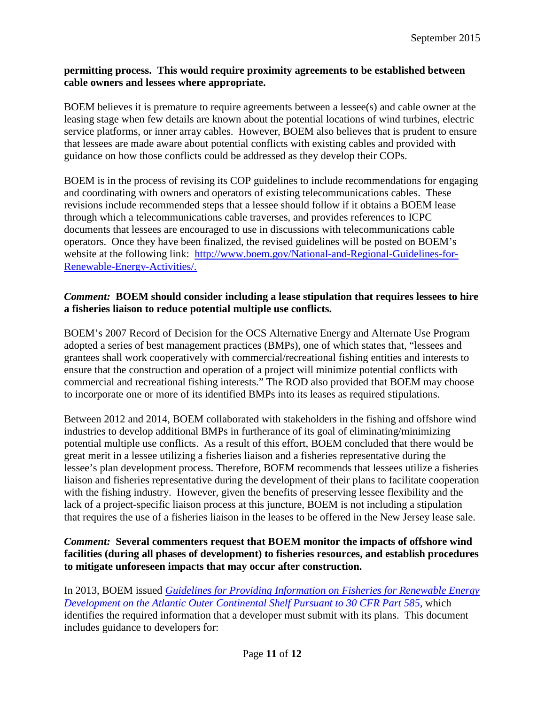#### **permitting process. This would require proximity agreements to be established between cable owners and lessees where appropriate.**

BOEM believes it is premature to require agreements between a lessee(s) and cable owner at the leasing stage when few details are known about the potential locations of wind turbines, electric service platforms, or inner array cables. However, BOEM also believes that is prudent to ensure that lessees are made aware about potential conflicts with existing cables and provided with guidance on how those conflicts could be addressed as they develop their COPs.

BOEM is in the process of revising its COP guidelines to include recommendations for engaging and coordinating with owners and operators of existing telecommunications cables. These revisions include recommended steps that a lessee should follow if it obtains a BOEM lease through which a telecommunications cable traverses, and provides references to ICPC documents that lessees are encouraged to use in discussions with telecommunications cable operators. Once they have been finalized, the revised guidelines will be posted on BOEM's website at the following link: [http://www.boem.gov/National-and-Regional-Guidelines-for-](http://www.boem.gov/National-and-Regional-Guidelines-for-Renewable-Energy-Activities/)[Renewable-Energy-Activities/.](http://www.boem.gov/National-and-Regional-Guidelines-for-Renewable-Energy-Activities/)

# *Comment:* **BOEM should consider including a lease stipulation that requires lessees to hire a fisheries liaison to reduce potential multiple use conflicts.**

BOEM's 2007 Record of Decision for the OCS Alternative Energy and Alternate Use Program adopted a series of best management practices (BMPs), one of which states that, "lessees and grantees shall work cooperatively with commercial/recreational fishing entities and interests to ensure that the construction and operation of a project will minimize potential conflicts with commercial and recreational fishing interests." The ROD also provided that BOEM may choose to incorporate one or more of its identified BMPs into its leases as required stipulations.

Between 2012 and 2014, BOEM collaborated with stakeholders in the fishing and offshore wind industries to develop additional BMPs in furtherance of its goal of eliminating/minimizing potential multiple use conflicts. As a result of this effort, BOEM concluded that there would be great merit in a lessee utilizing a fisheries liaison and a fisheries representative during the lessee's plan development process. Therefore, BOEM recommends that lessees utilize a fisheries liaison and fisheries representative during the development of their plans to facilitate cooperation with the fishing industry. However, given the benefits of preserving lessee flexibility and the lack of a project-specific liaison process at this juncture, BOEM is not including a stipulation that requires the use of a fisheries liaison in the leases to be offered in the New Jersey lease sale.

# *Comment:* **Several commenters request that BOEM monitor the impacts of offshore wind facilities (during all phases of development) to fisheries resources, and establish procedures to mitigate unforeseen impacts that may occur after construction.**

In 2013, BOEM issued *[Guidelines for Providing Information on Fisheries for Renewable Energy](http://www.boem.gov/Fishery-Survey-Guidelines/) [Development on the Atlantic Outer Continental Shelf Pursuant to 30 CFR Part](http://www.boem.gov/Fishery-Survey-Guidelines/) 585*, which identifies the required information that a developer must submit with its plans. This document includes guidance to developers for: